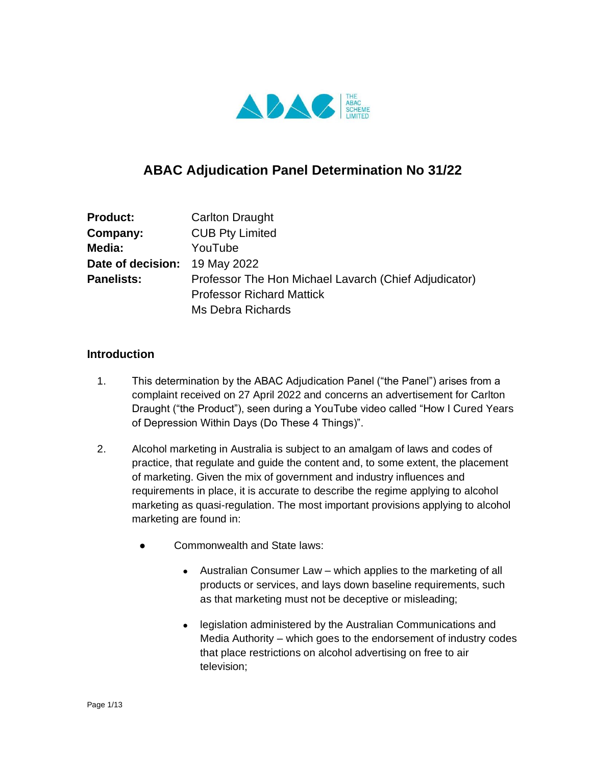

# **ABAC Adjudication Panel Determination No 31/22**

| <b>Product:</b>               | <b>Carlton Draught</b>                                |
|-------------------------------|-------------------------------------------------------|
| Company:                      | <b>CUB Pty Limited</b>                                |
| Media:                        | YouTube                                               |
| Date of decision: 19 May 2022 |                                                       |
| <b>Panelists:</b>             | Professor The Hon Michael Lavarch (Chief Adjudicator) |
|                               | <b>Professor Richard Mattick</b>                      |
|                               | Ms Debra Richards                                     |

## **Introduction**

- 1. This determination by the ABAC Adjudication Panel ("the Panel") arises from a complaint received on 27 April 2022 and concerns an advertisement for Carlton Draught ("the Product"), seen during a YouTube video called "How I Cured Years of Depression Within Days (Do These 4 Things)".
- 2. Alcohol marketing in Australia is subject to an amalgam of laws and codes of practice, that regulate and guide the content and, to some extent, the placement of marketing. Given the mix of government and industry influences and requirements in place, it is accurate to describe the regime applying to alcohol marketing as quasi-regulation. The most important provisions applying to alcohol marketing are found in:
	- Commonwealth and State laws:
		- Australian Consumer Law which applies to the marketing of all products or services, and lays down baseline requirements, such as that marketing must not be deceptive or misleading;
		- legislation administered by the Australian Communications and Media Authority – which goes to the endorsement of industry codes that place restrictions on alcohol advertising on free to air television;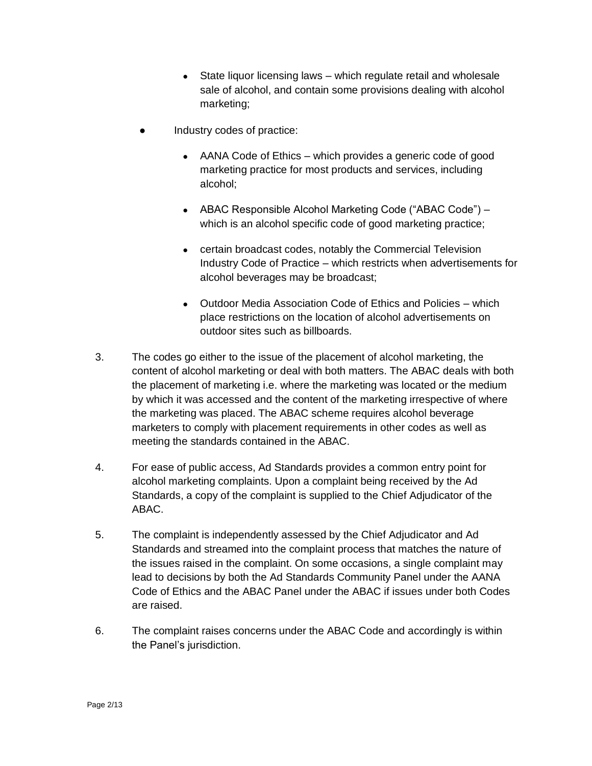- $\bullet$  State liquor licensing laws which regulate retail and wholesale sale of alcohol, and contain some provisions dealing with alcohol marketing;
- Industry codes of practice:
	- AANA Code of Ethics which provides a generic code of good marketing practice for most products and services, including alcohol;
	- ABAC Responsible Alcohol Marketing Code ("ABAC Code") which is an alcohol specific code of good marketing practice;
	- certain broadcast codes, notably the Commercial Television Industry Code of Practice – which restricts when advertisements for alcohol beverages may be broadcast;
	- Outdoor Media Association Code of Ethics and Policies which place restrictions on the location of alcohol advertisements on outdoor sites such as billboards.
- 3. The codes go either to the issue of the placement of alcohol marketing, the content of alcohol marketing or deal with both matters. The ABAC deals with both the placement of marketing i.e. where the marketing was located or the medium by which it was accessed and the content of the marketing irrespective of where the marketing was placed. The ABAC scheme requires alcohol beverage marketers to comply with placement requirements in other codes as well as meeting the standards contained in the ABAC.
- 4. For ease of public access, Ad Standards provides a common entry point for alcohol marketing complaints. Upon a complaint being received by the Ad Standards, a copy of the complaint is supplied to the Chief Adjudicator of the ABAC.
- 5. The complaint is independently assessed by the Chief Adjudicator and Ad Standards and streamed into the complaint process that matches the nature of the issues raised in the complaint. On some occasions, a single complaint may lead to decisions by both the Ad Standards Community Panel under the AANA Code of Ethics and the ABAC Panel under the ABAC if issues under both Codes are raised.
- 6. The complaint raises concerns under the ABAC Code and accordingly is within the Panel's jurisdiction.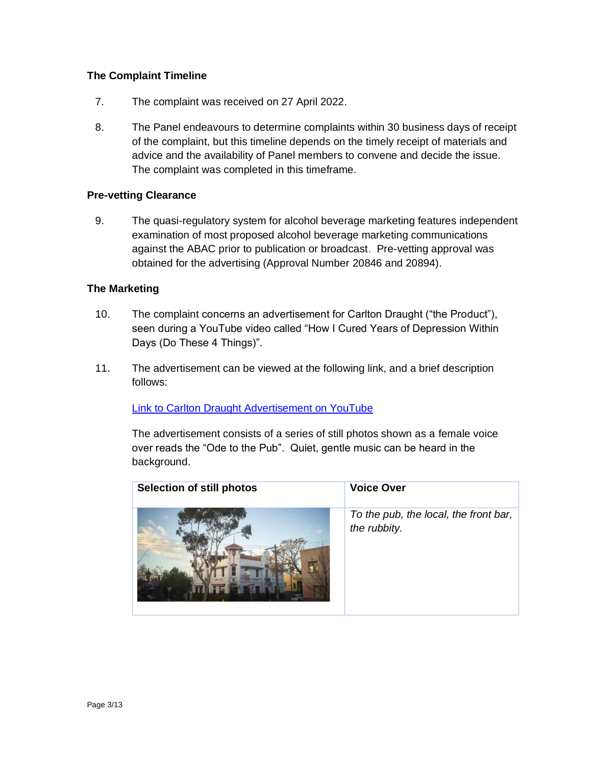## **The Complaint Timeline**

- 7. The complaint was received on 27 April 2022.
- 8. The Panel endeavours to determine complaints within 30 business days of receipt of the complaint, but this timeline depends on the timely receipt of materials and advice and the availability of Panel members to convene and decide the issue. The complaint was completed in this timeframe.

#### **Pre-vetting Clearance**

9. The quasi-regulatory system for alcohol beverage marketing features independent examination of most proposed alcohol beverage marketing communications against the ABAC prior to publication or broadcast. Pre-vetting approval was obtained for the advertising (Approval Number 20846 and 20894).

#### **The Marketing**

- 10. The complaint concerns an advertisement for Carlton Draught ("the Product"), seen during a YouTube video called "How I Cured Years of Depression Within Days (Do These 4 Things)".
- 11. The advertisement can be viewed at the following link, and a brief description follows:

[Link to Carlton Draught Advertisement on YouTube](https://urldefense.com/v3/__https:/www.youtube.com/watch?v=B6RtT9NZWL0__;!!BPaN2lVYBX9yApiS!NkUXLJuwgXtFf1sTCk-6WgK7HadHX24McuSfov0rp4ePnur-v7Mk8HETVIK1YIIwvkT4WW1wzQxNdKF1GR85ua4$)

The advertisement consists of a series of still photos shown as a female voice over reads the "Ode to the Pub". Quiet, gentle music can be heard in the background.

| <b>Selection of still photos</b> | <b>Voice Over</b>                                     |
|----------------------------------|-------------------------------------------------------|
|                                  | To the pub, the local, the front bar,<br>the rubbity. |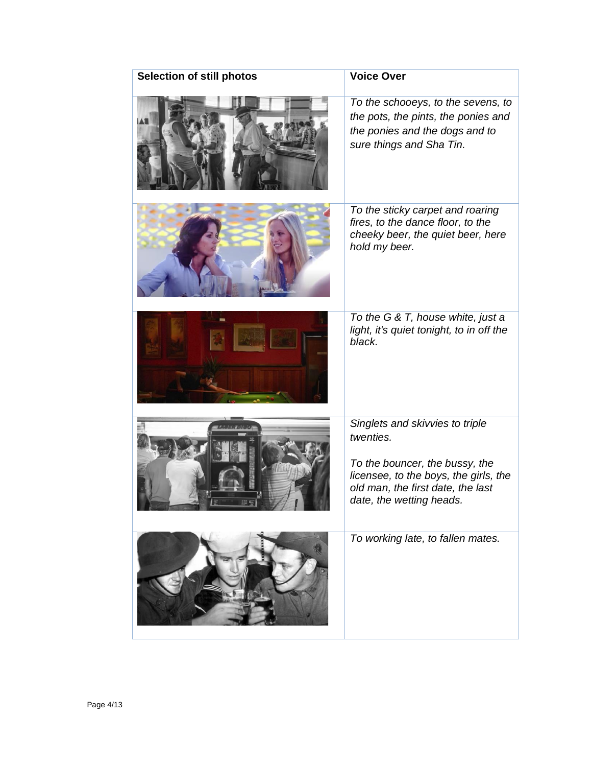| Selection of still photos | <b>Voice Over</b>                                                                                                                                                                        |
|---------------------------|------------------------------------------------------------------------------------------------------------------------------------------------------------------------------------------|
|                           | To the schooeys, to the sevens, to<br>the pots, the pints, the ponies and<br>the ponies and the dogs and to<br>sure things and Sha Tin.                                                  |
|                           | To the sticky carpet and roaring<br>fires, to the dance floor, to the<br>cheeky beer, the quiet beer, here<br>hold my beer.                                                              |
|                           | To the G & T, house white, just a<br>light, it's quiet tonight, to in off the<br>black.                                                                                                  |
|                           | Singlets and skivvies to triple<br>twenties.<br>To the bouncer, the bussy, the<br>licensee, to the boys, the girls, the<br>old man, the first date, the last<br>date, the wetting heads. |
|                           | To working late, to fallen mates.                                                                                                                                                        |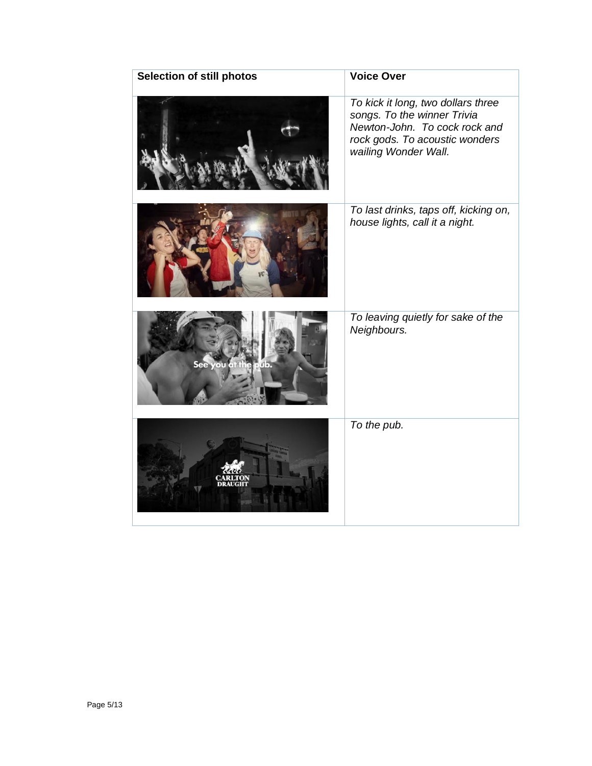| <b>Selection of still photos</b> | <b>Voice Over</b>                                                                                                                                            |
|----------------------------------|--------------------------------------------------------------------------------------------------------------------------------------------------------------|
|                                  | To kick it long, two dollars three<br>songs. To the winner Trivia<br>Newton-John. To cock rock and<br>rock gods. To acoustic wonders<br>wailing Wonder Wall. |
|                                  | To last drinks, taps off, kicking on,<br>house lights, call it a night.                                                                                      |
| 11.                              | To leaving quietly for sake of the<br>Neighbours.                                                                                                            |
|                                  | To the pub.                                                                                                                                                  |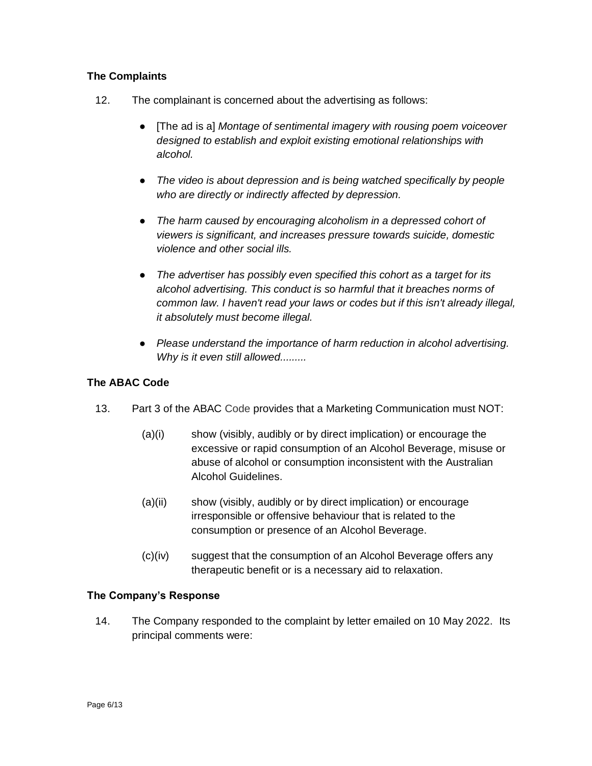## **The Complaints**

- 12. The complainant is concerned about the advertising as follows:
	- [The ad is a] *Montage of sentimental imagery with rousing poem voiceover designed to establish and exploit existing emotional relationships with alcohol.*
	- *The video is about depression and is being watched specifically by people who are directly or indirectly affected by depression.*
	- *The harm caused by encouraging alcoholism in a depressed cohort of viewers is significant, and increases pressure towards suicide, domestic violence and other social ills.*
	- *The advertiser has possibly even specified this cohort as a target for its alcohol advertising. This conduct is so harmful that it breaches norms of common law. I haven't read your laws or codes but if this isn't already illegal, it absolutely must become illegal.*
	- *Please understand the importance of harm reduction in alcohol advertising. Why is it even still allowed.........*

## **The ABAC Code**

- 13. Part 3 of the ABAC Code provides that a Marketing Communication must NOT:
	- (a)(i) show (visibly, audibly or by direct implication) or encourage the excessive or rapid consumption of an Alcohol Beverage, misuse or abuse of alcohol or consumption inconsistent with the Australian Alcohol Guidelines.
	- (a)(ii) show (visibly, audibly or by direct implication) or encourage irresponsible or offensive behaviour that is related to the consumption or presence of an Alcohol Beverage.
	- (c)(iv) suggest that the consumption of an Alcohol Beverage offers any therapeutic benefit or is a necessary aid to relaxation.

#### **The Company's Response**

14. The Company responded to the complaint by letter emailed on 10 May 2022. Its principal comments were: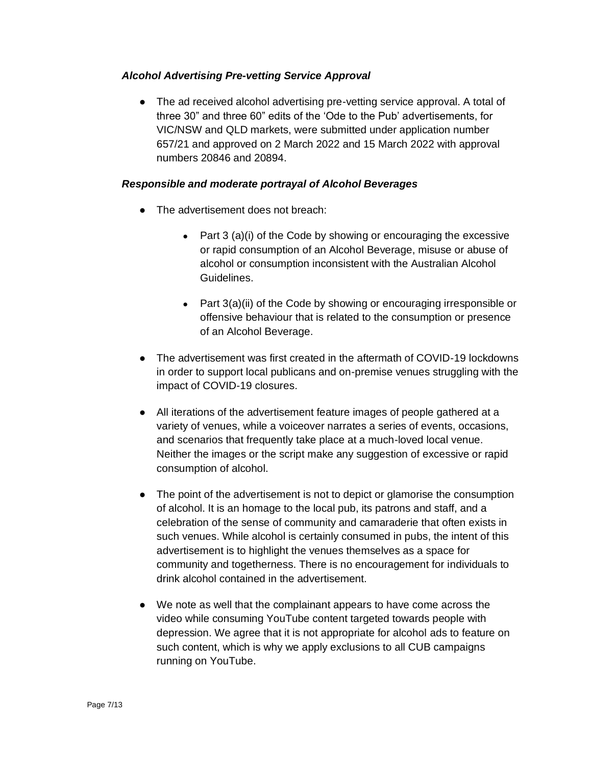### *Alcohol Advertising Pre-vetting Service Approval*

• The ad received alcohol advertising pre-vetting service approval. A total of three 30" and three 60" edits of the 'Ode to the Pub' advertisements, for VIC/NSW and QLD markets, were submitted under application number 657/21 and approved on 2 March 2022 and 15 March 2022 with approval numbers 20846 and 20894.

## *Responsible and moderate portrayal of Alcohol Beverages*

- The advertisement does not breach:
	- Part  $3$  (a)(i) of the Code by showing or encouraging the excessive or rapid consumption of an Alcohol Beverage, misuse or abuse of alcohol or consumption inconsistent with the Australian Alcohol Guidelines.
	- Part 3(a)(ii) of the Code by showing or encouraging irresponsible or offensive behaviour that is related to the consumption or presence of an Alcohol Beverage.
- The advertisement was first created in the aftermath of COVID-19 lockdowns in order to support local publicans and on-premise venues struggling with the impact of COVID-19 closures.
- All iterations of the advertisement feature images of people gathered at a variety of venues, while a voiceover narrates a series of events, occasions, and scenarios that frequently take place at a much-loved local venue. Neither the images or the script make any suggestion of excessive or rapid consumption of alcohol.
- The point of the advertisement is not to depict or glamorise the consumption of alcohol. It is an homage to the local pub, its patrons and staff, and a celebration of the sense of community and camaraderie that often exists in such venues. While alcohol is certainly consumed in pubs, the intent of this advertisement is to highlight the venues themselves as a space for community and togetherness. There is no encouragement for individuals to drink alcohol contained in the advertisement.
- We note as well that the complainant appears to have come across the video while consuming YouTube content targeted towards people with depression. We agree that it is not appropriate for alcohol ads to feature on such content, which is why we apply exclusions to all CUB campaigns running on YouTube.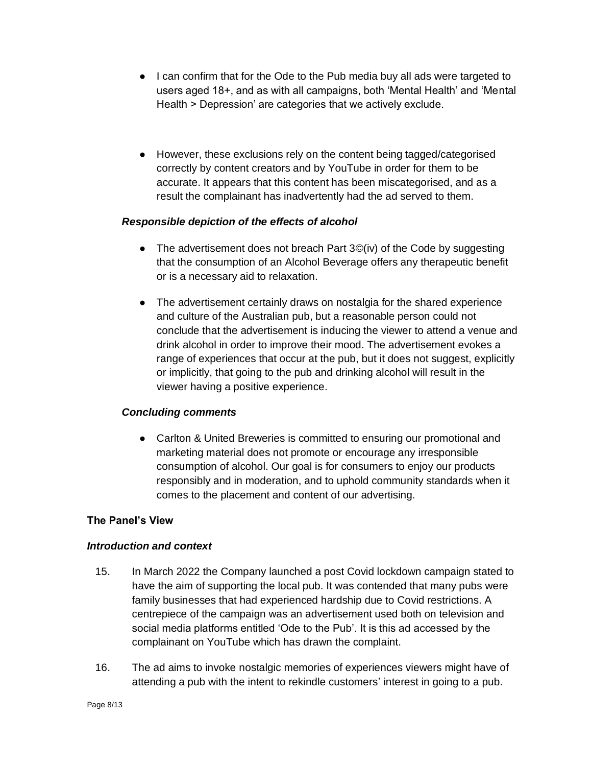- I can confirm that for the Ode to the Pub media buy all ads were targeted to users aged 18+, and as with all campaigns, both 'Mental Health' and 'Mental Health > Depression' are categories that we actively exclude.
- However, these exclusions rely on the content being tagged/categorised correctly by content creators and by YouTube in order for them to be accurate. It appears that this content has been miscategorised, and as a result the complainant has inadvertently had the ad served to them.

## *Responsible depiction of the effects of alcohol*

- The advertisement does not breach Part  $3\degree$  (iv) of the Code by suggesting that the consumption of an Alcohol Beverage offers any therapeutic benefit or is a necessary aid to relaxation.
- The advertisement certainly draws on nostalgia for the shared experience and culture of the Australian pub, but a reasonable person could not conclude that the advertisement is inducing the viewer to attend a venue and drink alcohol in order to improve their mood. The advertisement evokes a range of experiences that occur at the pub, but it does not suggest, explicitly or implicitly, that going to the pub and drinking alcohol will result in the viewer having a positive experience.

# *Concluding comments*

• Carlton & United Breweries is committed to ensuring our promotional and marketing material does not promote or encourage any irresponsible consumption of alcohol. Our goal is for consumers to enjoy our products responsibly and in moderation, and to uphold community standards when it comes to the placement and content of our advertising.

# **The Panel's View**

#### *Introduction and context*

- 15. In March 2022 the Company launched a post Covid lockdown campaign stated to have the aim of supporting the local pub. It was contended that many pubs were family businesses that had experienced hardship due to Covid restrictions. A centrepiece of the campaign was an advertisement used both on television and social media platforms entitled 'Ode to the Pub'. It is this ad accessed by the complainant on YouTube which has drawn the complaint.
- 16. The ad aims to invoke nostalgic memories of experiences viewers might have of attending a pub with the intent to rekindle customers' interest in going to a pub.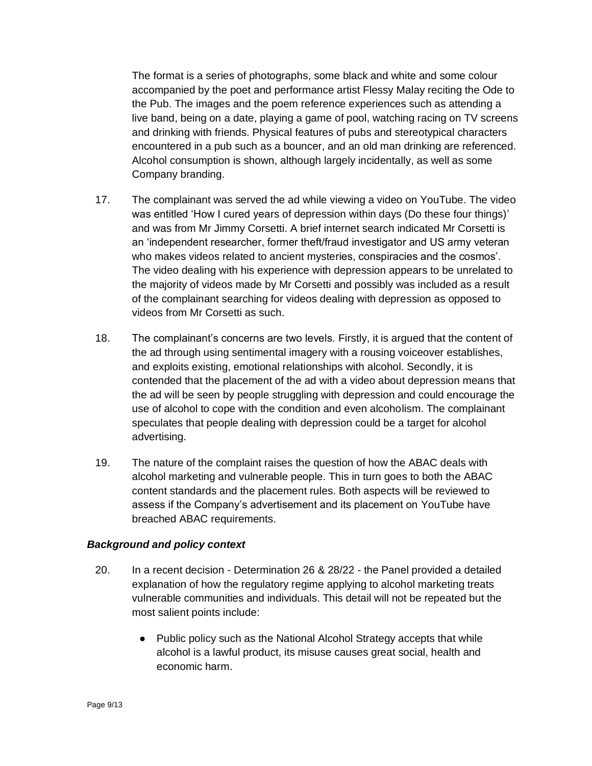The format is a series of photographs, some black and white and some colour accompanied by the poet and performance artist Flessy Malay reciting the Ode to the Pub. The images and the poem reference experiences such as attending a live band, being on a date, playing a game of pool, watching racing on TV screens and drinking with friends. Physical features of pubs and stereotypical characters encountered in a pub such as a bouncer, and an old man drinking are referenced. Alcohol consumption is shown, although largely incidentally, as well as some Company branding.

- 17. The complainant was served the ad while viewing a video on YouTube. The video was entitled 'How I cured years of depression within days (Do these four things)' and was from Mr Jimmy Corsetti. A brief internet search indicated Mr Corsetti is an 'independent researcher, former theft/fraud investigator and US army veteran who makes videos related to ancient mysteries, conspiracies and the cosmos'. The video dealing with his experience with depression appears to be unrelated to the majority of videos made by Mr Corsetti and possibly was included as a result of the complainant searching for videos dealing with depression as opposed to videos from Mr Corsetti as such.
- 18. The complainant's concerns are two levels. Firstly, it is argued that the content of the ad through using sentimental imagery with a rousing voiceover establishes, and exploits existing, emotional relationships with alcohol. Secondly, it is contended that the placement of the ad with a video about depression means that the ad will be seen by people struggling with depression and could encourage the use of alcohol to cope with the condition and even alcoholism. The complainant speculates that people dealing with depression could be a target for alcohol advertising.
- 19. The nature of the complaint raises the question of how the ABAC deals with alcohol marketing and vulnerable people. This in turn goes to both the ABAC content standards and the placement rules. Both aspects will be reviewed to assess if the Company's advertisement and its placement on YouTube have breached ABAC requirements.

#### *Background and policy context*

- 20. In a recent decision Determination 26 & 28/22 the Panel provided a detailed explanation of how the regulatory regime applying to alcohol marketing treats vulnerable communities and individuals. This detail will not be repeated but the most salient points include:
	- Public policy such as the National Alcohol Strategy accepts that while alcohol is a lawful product, its misuse causes great social, health and economic harm.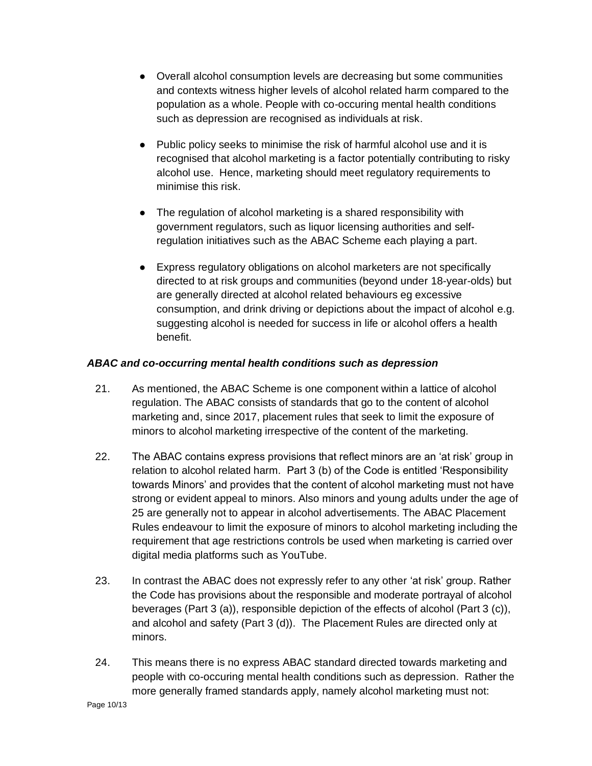- Overall alcohol consumption levels are decreasing but some communities and contexts witness higher levels of alcohol related harm compared to the population as a whole. People with co-occuring mental health conditions such as depression are recognised as individuals at risk.
- Public policy seeks to minimise the risk of harmful alcohol use and it is recognised that alcohol marketing is a factor potentially contributing to risky alcohol use. Hence, marketing should meet regulatory requirements to minimise this risk.
- The regulation of alcohol marketing is a shared responsibility with government regulators, such as liquor licensing authorities and selfregulation initiatives such as the ABAC Scheme each playing a part.
- Express regulatory obligations on alcohol marketers are not specifically directed to at risk groups and communities (beyond under 18-year-olds) but are generally directed at alcohol related behaviours eg excessive consumption, and drink driving or depictions about the impact of alcohol e.g. suggesting alcohol is needed for success in life or alcohol offers a health benefit.

# *ABAC and co-occurring mental health conditions such as depression*

- 21. As mentioned, the ABAC Scheme is one component within a lattice of alcohol regulation. The ABAC consists of standards that go to the content of alcohol marketing and, since 2017, placement rules that seek to limit the exposure of minors to alcohol marketing irrespective of the content of the marketing.
- 22. The ABAC contains express provisions that reflect minors are an 'at risk' group in relation to alcohol related harm. Part 3 (b) of the Code is entitled 'Responsibility towards Minors' and provides that the content of alcohol marketing must not have strong or evident appeal to minors. Also minors and young adults under the age of 25 are generally not to appear in alcohol advertisements. The ABAC Placement Rules endeavour to limit the exposure of minors to alcohol marketing including the requirement that age restrictions controls be used when marketing is carried over digital media platforms such as YouTube.
- 23. In contrast the ABAC does not expressly refer to any other 'at risk' group. Rather the Code has provisions about the responsible and moderate portrayal of alcohol beverages (Part 3 (a)), responsible depiction of the effects of alcohol (Part 3 (c)), and alcohol and safety (Part 3 (d)). The Placement Rules are directed only at minors.
- 24. This means there is no express ABAC standard directed towards marketing and people with co-occuring mental health conditions such as depression. Rather the more generally framed standards apply, namely alcohol marketing must not: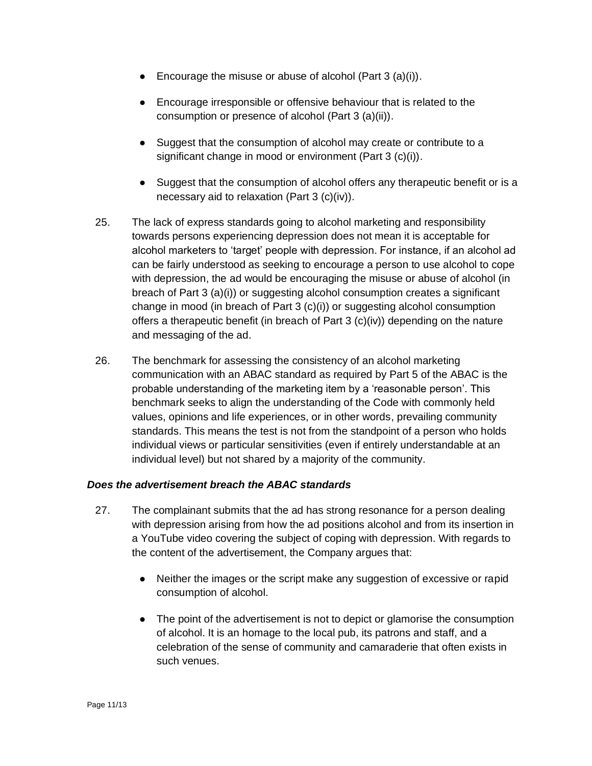- **•** Encourage the misuse or abuse of alcohol (Part  $3$  (a)(i)).
- Encourage irresponsible or offensive behaviour that is related to the consumption or presence of alcohol (Part 3 (a)(ii)).
- Suggest that the consumption of alcohol may create or contribute to a significant change in mood or environment (Part 3 (c)(i)).
- Suggest that the consumption of alcohol offers any therapeutic benefit or is a necessary aid to relaxation (Part 3 (c)(iv)).
- 25. The lack of express standards going to alcohol marketing and responsibility towards persons experiencing depression does not mean it is acceptable for alcohol marketers to 'target' people with depression. For instance, if an alcohol ad can be fairly understood as seeking to encourage a person to use alcohol to cope with depression, the ad would be encouraging the misuse or abuse of alcohol (in breach of Part 3 (a)(i)) or suggesting alcohol consumption creates a significant change in mood (in breach of Part 3 (c)(i)) or suggesting alcohol consumption offers a therapeutic benefit (in breach of Part 3 (c)(iv)) depending on the nature and messaging of the ad.
- 26. The benchmark for assessing the consistency of an alcohol marketing communication with an ABAC standard as required by Part 5 of the ABAC is the probable understanding of the marketing item by a 'reasonable person'. This benchmark seeks to align the understanding of the Code with commonly held values, opinions and life experiences, or in other words, prevailing community standards. This means the test is not from the standpoint of a person who holds individual views or particular sensitivities (even if entirely understandable at an individual level) but not shared by a majority of the community.

#### *Does the advertisement breach the ABAC standards*

- 27. The complainant submits that the ad has strong resonance for a person dealing with depression arising from how the ad positions alcohol and from its insertion in a YouTube video covering the subject of coping with depression. With regards to the content of the advertisement, the Company argues that:
	- Neither the images or the script make any suggestion of excessive or rapid consumption of alcohol.
	- The point of the advertisement is not to depict or glamorise the consumption of alcohol. It is an homage to the local pub, its patrons and staff, and a celebration of the sense of community and camaraderie that often exists in such venues.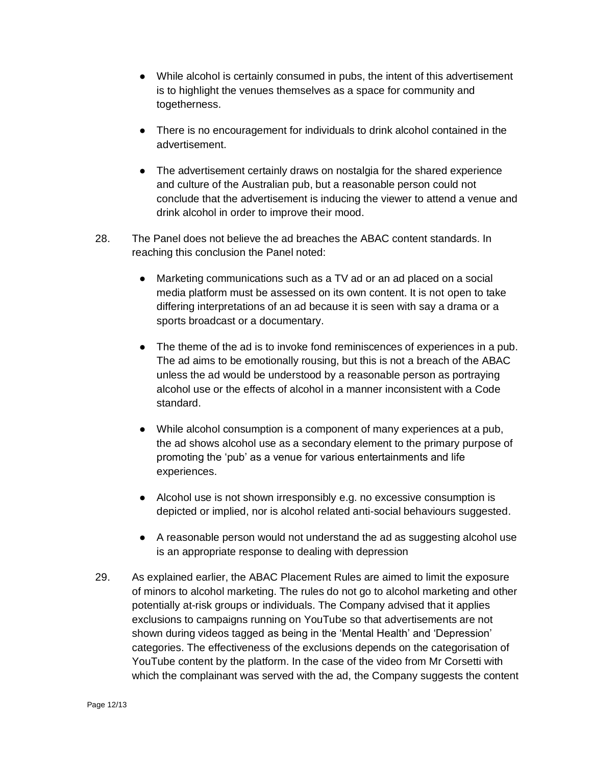- While alcohol is certainly consumed in pubs, the intent of this advertisement is to highlight the venues themselves as a space for community and togetherness.
- There is no encouragement for individuals to drink alcohol contained in the advertisement.
- The advertisement certainly draws on nostalgia for the shared experience and culture of the Australian pub, but a reasonable person could not conclude that the advertisement is inducing the viewer to attend a venue and drink alcohol in order to improve their mood.
- 28. The Panel does not believe the ad breaches the ABAC content standards. In reaching this conclusion the Panel noted:
	- Marketing communications such as a TV ad or an ad placed on a social media platform must be assessed on its own content. It is not open to take differing interpretations of an ad because it is seen with say a drama or a sports broadcast or a documentary.
	- The theme of the ad is to invoke fond reminiscences of experiences in a pub. The ad aims to be emotionally rousing, but this is not a breach of the ABAC unless the ad would be understood by a reasonable person as portraying alcohol use or the effects of alcohol in a manner inconsistent with a Code standard.
	- While alcohol consumption is a component of many experiences at a pub, the ad shows alcohol use as a secondary element to the primary purpose of promoting the 'pub' as a venue for various entertainments and life experiences.
	- Alcohol use is not shown irresponsibly e.g. no excessive consumption is depicted or implied, nor is alcohol related anti-social behaviours suggested.
	- A reasonable person would not understand the ad as suggesting alcohol use is an appropriate response to dealing with depression
- 29. As explained earlier, the ABAC Placement Rules are aimed to limit the exposure of minors to alcohol marketing. The rules do not go to alcohol marketing and other potentially at-risk groups or individuals. The Company advised that it applies exclusions to campaigns running on YouTube so that advertisements are not shown during videos tagged as being in the 'Mental Health' and 'Depression' categories. The effectiveness of the exclusions depends on the categorisation of YouTube content by the platform. In the case of the video from Mr Corsetti with which the complainant was served with the ad, the Company suggests the content